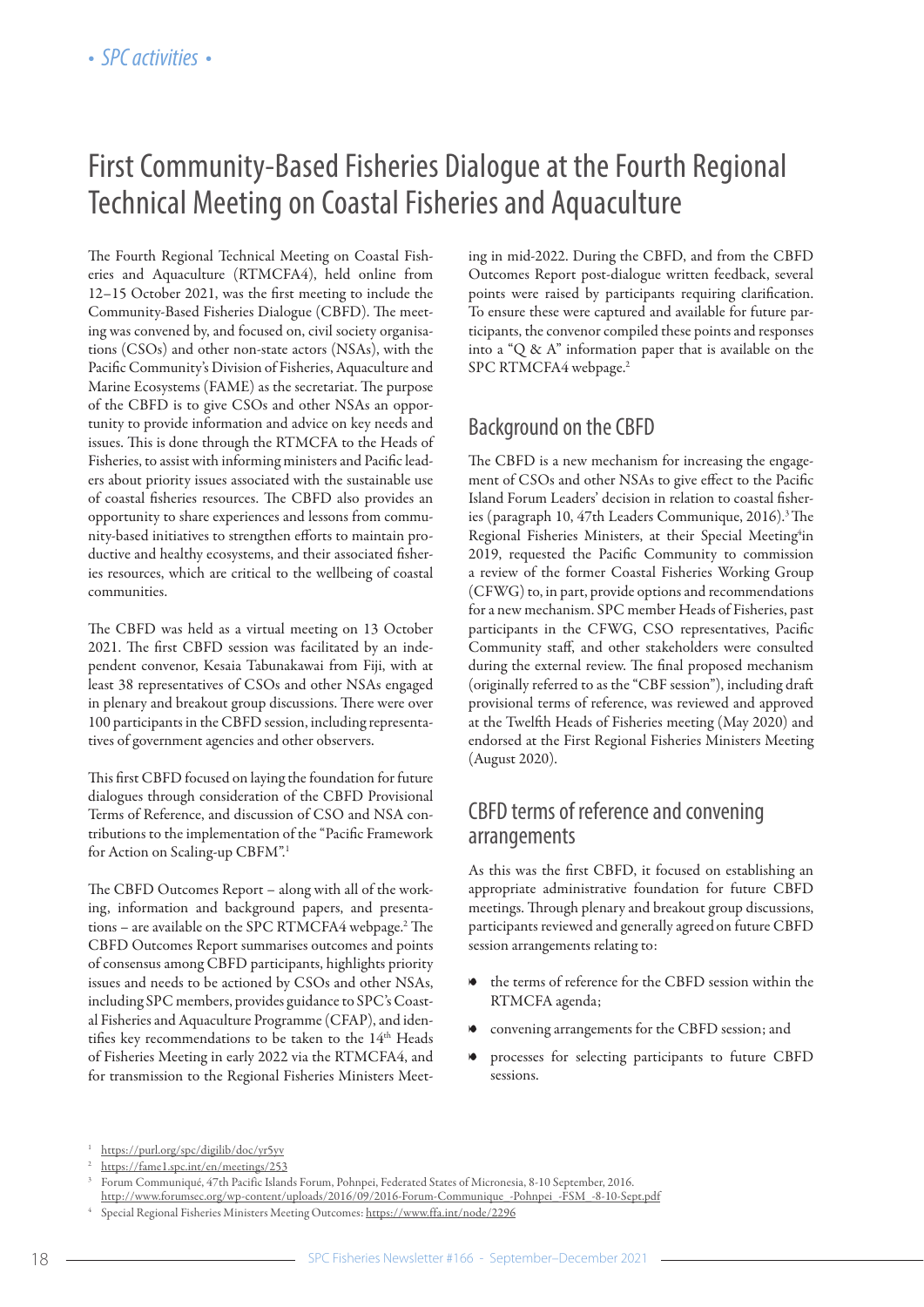# First Community-Based Fisheries Dialogue at the Fourth Regional Technical Meeting on Coastal Fisheries and Aquaculture

The Fourth Regional Technical Meeting on Coastal Fisheries and Aquaculture (RTMCFA4), held online from 12–15 October 2021, was the first meeting to include the Community-Based Fisheries Dialogue (CBFD). The meeting was convened by, and focused on, civil society organisations (CSOs) and other non-state actors (NSAs), with the Pacific Community's Division of Fisheries, Aquaculture and Marine Ecosystems (FAME) as the secretariat. The purpose of the CBFD is to give CSOs and other NSAs an opportunity to provide information and advice on key needs and issues. This is done through the RTMCFA to the Heads of Fisheries, to assist with informing ministers and Pacific leaders about priority issues associated with the sustainable use of coastal fisheries resources. The CBFD also provides an opportunity to share experiences and lessons from community-based initiatives to strengthen efforts to maintain productive and healthy ecosystems, and their associated fisheries resources, which are critical to the wellbeing of coastal communities.

The CBFD was held as a virtual meeting on 13 October 2021. The first CBFD session was facilitated by an independent convenor, Kesaia Tabunakawai from Fiji, with at least 38 representatives of CSOs and other NSAs engaged in plenary and breakout group discussions. There were over 100 participants in the CBFD session, including representatives of government agencies and other observers.

This first CBFD focused on laying the foundation for future dialogues through consideration of the CBFD Provisional Terms of Reference, and discussion of CSO and NSA contributions to the implementation of the "Pacific Framework for Action on Scaling-up CBFM".1

The CBFD Outcomes Report – along with all of the working, information and background papers, and presentations – are available on the SPC RTMCFA4 webpage.<sup>2</sup> The CBFD Outcomes Report summarises outcomes and points of consensus among CBFD participants, highlights priority issues and needs to be actioned by CSOs and other NSAs, including SPC members, provides guidance to SPC's Coastal Fisheries and Aquaculture Programme (CFAP), and identifies key recommendations to be taken to the  $14<sup>th</sup>$  Heads of Fisheries Meeting in early 2022 via the RTMCFA4, and for transmission to the Regional Fisheries Ministers Meeting in mid-2022. During the CBFD, and from the CBFD Outcomes Report post-dialogue written feedback, several points were raised by participants requiring clarification. To ensure these were captured and available for future participants, the convenor compiled these points and responses into a "Q & A" information paper that is available on the SPC RTMCFA4 webpage.<sup>2</sup>

# Background on the CBFD

The CBFD is a new mechanism for increasing the engagement of CSOs and other NSAs to give effect to the Pacific Island Forum Leaders' decision in relation to coastal fisheries (paragraph 10, 47th Leaders Communique, 2016).<sup>3</sup> The Regional Fisheries Ministers, at their Special Meeting<sup>4</sup>in 2019, requested the Pacific Community to commission a review of the former Coastal Fisheries Working Group (CFWG) to, in part, provide options and recommendations for a new mechanism. SPC member Heads of Fisheries, past participants in the CFWG, CSO representatives, Pacific Community staff, and other stakeholders were consulted during the external review. The final proposed mechanism (originally referred to as the "CBF session"), including draft provisional terms of reference, was reviewed and approved at the Twelfth Heads of Fisheries meeting (May 2020) and endorsed at the First Regional Fisheries Ministers Meeting (August 2020).

# CBFD terms of reference and convening arrangements

As this was the first CBFD, it focused on establishing an appropriate administrative foundation for future CBFD meetings. Through plenary and breakout group discussions, participants reviewed and generally agreedon future CBFD session arrangements relating to:

- the terms of reference for the CBFD session within the RTMCFA agenda;
- convening arrangements for the CBFD session; and
- 8 processes for selecting participants to future CBFD sessions.

<sup>1</sup> [https://purl.org/spc/digilib/doc/yr5yv](https://purl.org/spc/digilib/doc/yr5yv )

<sup>&</sup>lt;sup>2</sup> <https://fame1.spc.int/en/meetings/253>

<sup>3</sup> Forum Communiqué, 47th Pacific Islands Forum, Pohnpei, Federated States of Micronesia, 8-10 September, 2016.

[http://www.forumsec.org/wp-content/uploads/2016/09/2016-Forum-Communique\\_-Pohnpei\\_-FSM\\_-8-10-Sept.pdf](http://www.forumsec.org/wp-content/uploads/2016/09/2016-Forum-Communique_-Pohnpei_-FSM_-8-10-Sept.pdf)

<sup>4</sup> Special Regional Fisheries Ministers Meeting Outcomes: <https://www.ffa.int/node/2296>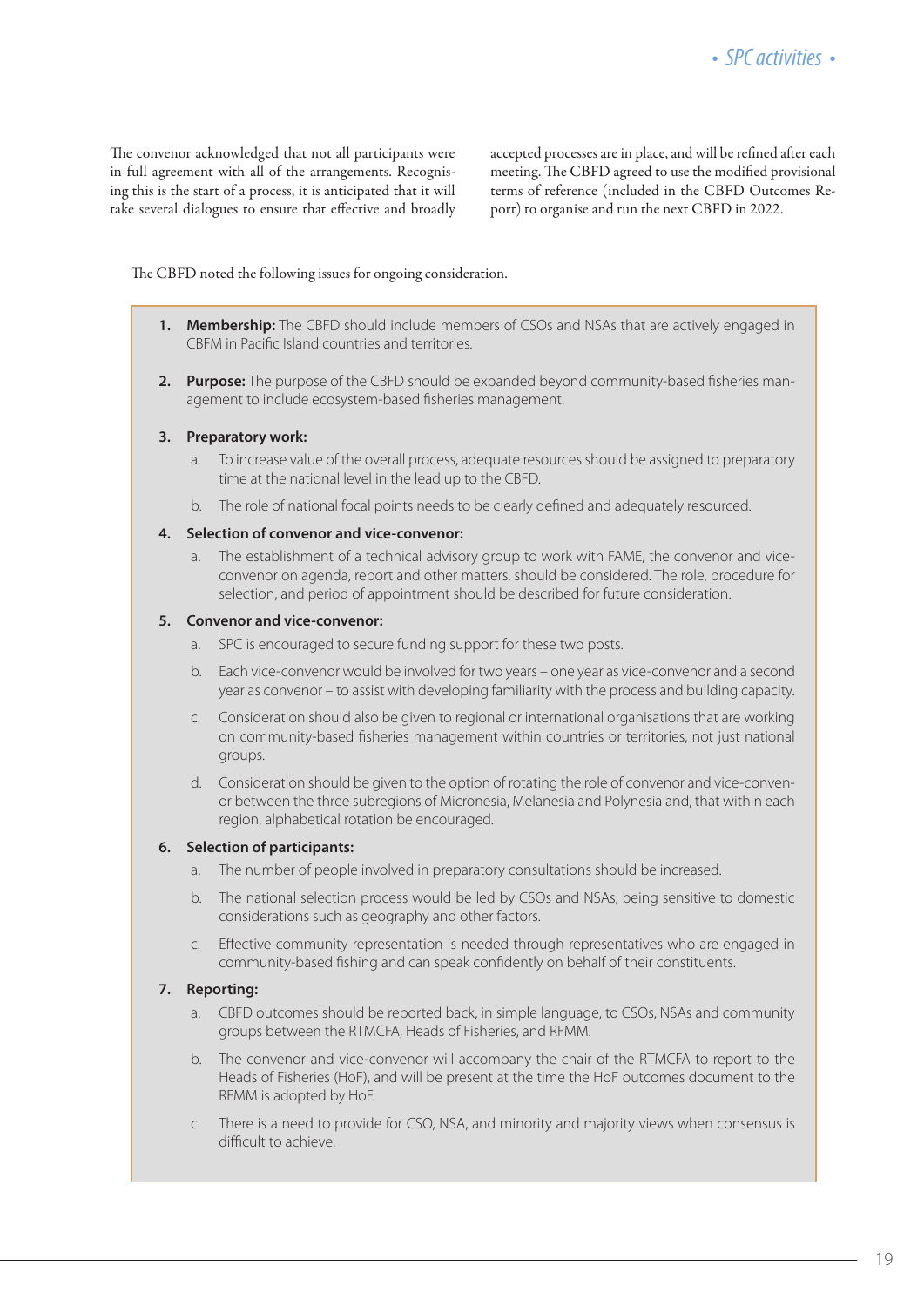The convenor acknowledged that not all participants were in full agreement with all of the arrangements. Recognising this is the start of a process, it is anticipated that it will take several dialogues to ensure that effective and broadly accepted processes are in place, and will be refined after each meeting. The CBFD agreed to use the modified provisional terms of reference (included in the CBFD Outcomes Report) to organise and run the next CBFD in 2022.

The CBFD noted the following issues for ongoing consideration.

- **1. Membership:** The CBFD should include members of CSOs and NSAs that are actively engaged in CBFM in Pacific Island countries and territories.
- **2. Purpose:** The purpose of the CBFD should be expanded beyond community-based fisheries management to include ecosystem-based fisheries management.

#### **3. Preparatory work:**

- a. To increase value of the overall process, adequate resources should be assigned to preparatory time at the national level in the lead up to the CBFD.
- b. The role of national focal points needs to be clearly defined and adequately resourced.

#### **4. Selection of convenor and vice-convenor:**

a. The establishment of a technical advisory group to work with FAME, the convenor and viceconvenor on agenda, report and other matters, should be considered. The role, procedure for selection, and period of appointment should be described for future consideration.

#### **5. Convenor and vice-convenor:**

- a. SPC is encouraged to secure funding support for these two posts.
- b. Each vice-convenor would be involved for two years one year as vice-convenor and a second year as convenor – to assist with developing familiarity with the process and building capacity.
- c. Consideration should also be given to regional or international organisations that are working on community-based fisheries management within countries or territories, not just national groups.
- d. Consideration should be given to the option of rotating the role of convenor and vice-convenor between the three subregions of Micronesia, Melanesia and Polynesia and, that within each region, alphabetical rotation be encouraged.

#### **6. Selection of participants:**

- a. The number of people involved in preparatory consultations should be increased.
- b. The national selection process would be led by CSOs and NSAs, being sensitive to domestic considerations such as geography and other factors.
- c. Effective community representation is needed through representatives who are engaged in community-based fishing and can speak confidently on behalf of their constituents.

#### **7. Reporting:**

- a. CBFD outcomes should be reported back, in simple language, to CSOs, NSAs and community groups between the RTMCFA, Heads of Fisheries, and RFMM.
- b. The convenor and vice-convenor will accompany the chair of the RTMCFA to report to the Heads of Fisheries (HoF), and will be present at the time the HoF outcomes document to the RFMM is adopted by HoF.
- c. There is a need to provide for CSO, NSA, and minority and majority views when consensus is difficult to achieve.